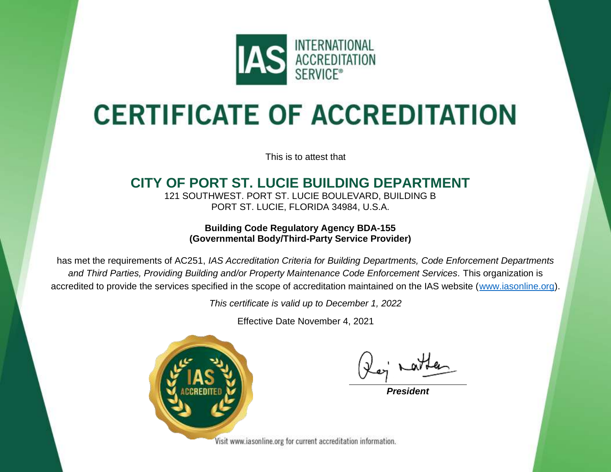

# **CERTIFICATE OF ACCREDITATION**

This is to attest that

## **CITY OF PORT ST. LUCIE BUILDING DEPARTMENT**

121 SOUTHWEST. PORT ST. LUCIE BOULEVARD, BUILDING B PORT ST. LUCIE, FLORIDA 34984, U.S.A.

**Building Code Regulatory Agency BDA-155 (Governmental Body/Third-Party Service Provider)**

has met the requirements of AC251, *IAS Accreditation Criteria for Building Departments, Code Enforcement Departments and Third Parties, Providing Building and/or Property Maintenance Code Enforcement Services.* This organization is accredited to provide the services specified in the scope of accreditation maintained on the IAS website [\(www.iasonline.org\)](http://www.iasonline.org/).

*This certificate is valid up to December 1, 2022*

Effective Date November 4, 2021



*President*

Visit www.iasonline.org for current accreditation information.